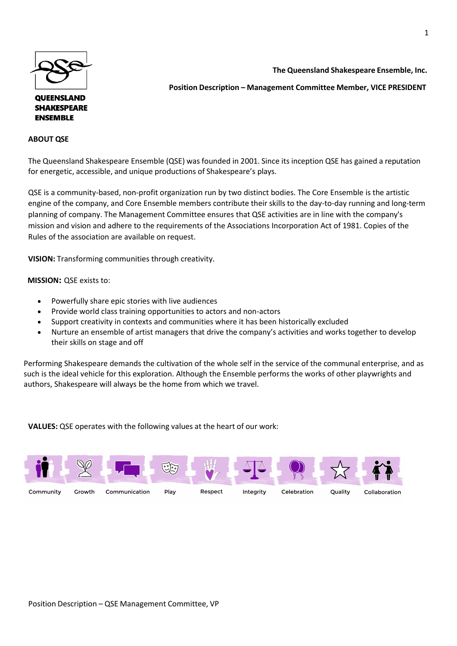

## **QUEENSLAND SHAKESPEARE ENSEMBLE**

## **ABOUT QSE**

**The Queensland Shakespeare Ensemble, Inc.** 

**Position Description – Management Committee Member, VICE PRESIDENT**

The Queensland Shakespeare Ensemble (QSE) was founded in 2001. Since its inception QSE has gained a reputation for energetic, accessible, and unique productions of Shakespeare's plays.

QSE is a community-based, non-profit organization run by two distinct bodies. The Core Ensemble is the artistic engine of the company, and Core Ensemble members contribute their skills to the day-to-day running and long-term planning of company. The Management Committee ensures that QSE activities are in line with the company's mission and vision and adhere to the requirements of the Associations Incorporation Act of 1981. Copies of the Rules of the association are available on request.

**VISION:** Transforming communities through creativity.

 **MISSION:** QSE exists to:

- Powerfully share epic stories with live audiences
- Provide world class training opportunities to actors and non-actors
- Support creativity in contexts and communities where it has been historically excluded
- Nurture an ensemble of artist managers that drive the company's activities and works together to develop their skills on stage and off

Performing Shakespeare demands the cultivation of the whole self in the service of the communal enterprise, and as such is the ideal vehicle for this exploration. Although the Ensemble performs the works of other playwrights and authors, Shakespeare will always be the home from which we travel.

**VALUES:** QSE operates with the following values at the heart of our work:

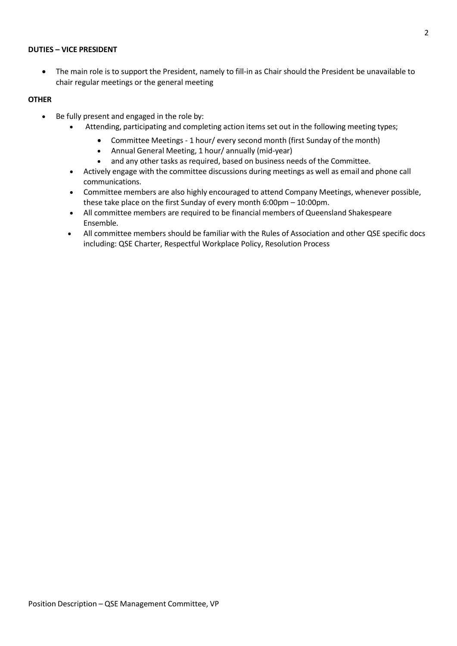## **DUTIES – VICE PRESIDENT**

• The main role is to support the President, namely to fill-in as Chair should the President be unavailable to chair regular meetings or the general meeting

## **OTHER**

- Be fully present and engaged in the role by:
	- Attending, participating and completing action items set out in the following meeting types;
		- Committee Meetings 1 hour/ every second month (first Sunday of the month)
		- Annual General Meeting, 1 hour/ annually (mid-year)
		- and any other tasks as required, based on business needs of the Committee.
	- Actively engage with the committee discussions during meetings as well as email and phone call communications.
	- Committee members are also highly encouraged to attend Company Meetings, whenever possible, these take place on the first Sunday of every month 6:00pm – 10:00pm.
	- All committee members are required to be financial members of Queensland Shakespeare Ensemble.
	- All committee members should be familiar with the Rules of Association and other QSE specific docs including: QSE Charter, Respectful Workplace Policy, Resolution Process